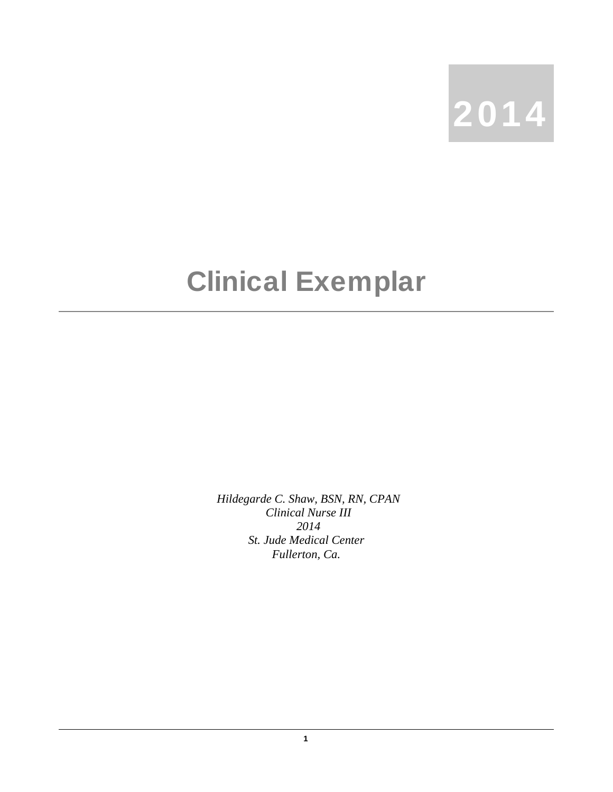

## Clinical Exemplar

*Hildegarde C. Shaw, BSN, RN, CPAN Clinical Nurse III 2014 St. Jude Medical Center Fullerton, Ca.*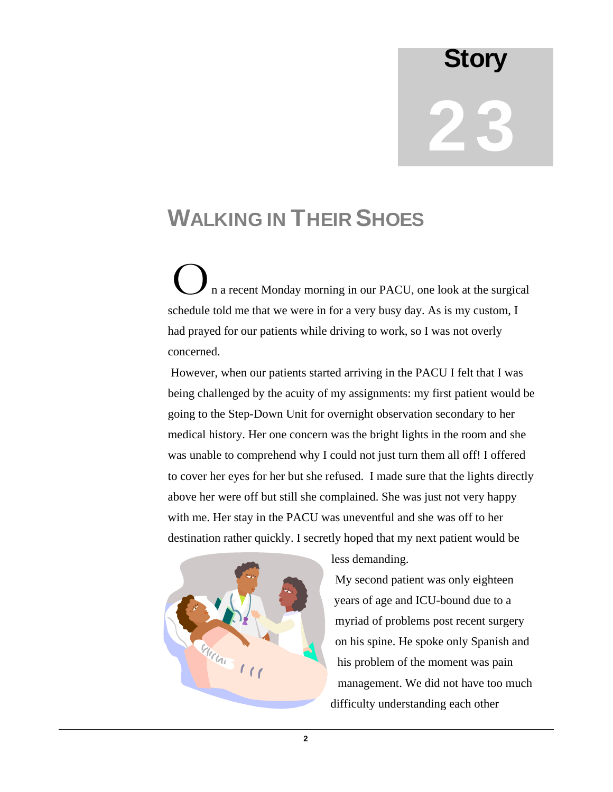## **Story** 23

## WALKING IN THEIR SHOES

 n a recent Monday morning in our PACU, one look at the surgical schedule told me that we were in for a very busy day. As is my custom, I had prayed for our patients while driving to work, so I was not overly concerned.  $\mathbf{O}_n$ 

 However, when our patients started arriving in the PACU I felt that I was being challenged by the acuity of my assignments: my first patient would be going to the Step-Down Unit for overnight observation secondary to her medical history. Her one concern was the bright lights in the room and she was unable to comprehend why I could not just turn them all off! I offered to cover her eyes for her but she refused. I made sure that the lights directly above her were off but still she complained. She was just not very happy with me. Her stay in the PACU was uneventful and she was off to her destination rather quickly. I secretly hoped that my next patient would be



less demanding.

My second patient was only eighteen years of age and ICU-bound due to a myriad of problems post recent surgery on his spine. He spoke only Spanish and his problem of the moment was pain management. We did not have too much difficulty understanding each other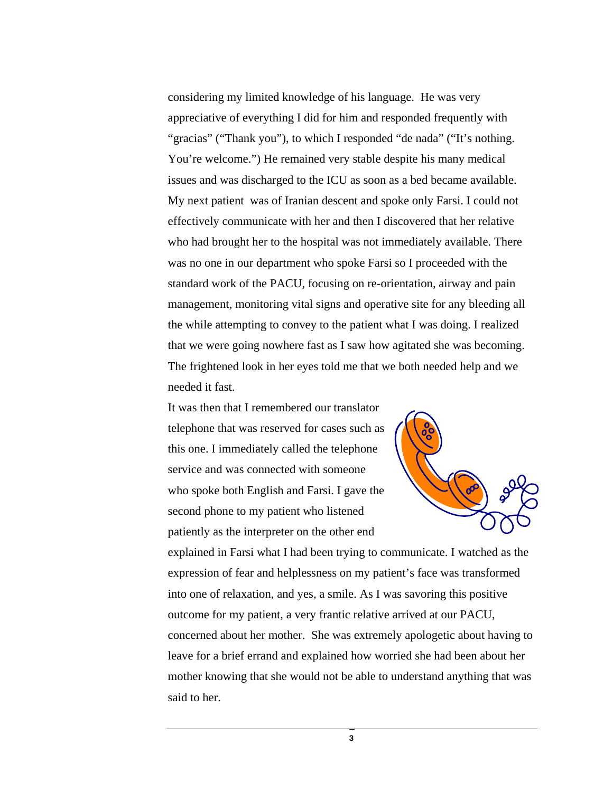considering my limited knowledge of his language. He was very appreciative of everything I did for him and responded frequently with "gracias" ("Thank you"), to which I responded "de nada" ("It's nothing. You're welcome.") He remained very stable despite his many medical issues and was discharged to the ICU as soon as a bed became available. My next patient was of Iranian descent and spoke only Farsi. I could not effectively communicate with her and then I discovered that her relative who had brought her to the hospital was not immediately available. There was no one in our department who spoke Farsi so I proceeded with the standard work of the PACU, focusing on re-orientation, airway and pain management, monitoring vital signs and operative site for any bleeding all the while attempting to convey to the patient what I was doing. I realized that we were going nowhere fast as I saw how agitated she was becoming. The frightened look in her eyes told me that we both needed help and we needed it fast.

It was then that I remembered our translator telephone that was reserved for cases such as this one. I immediately called the telephone service and was connected with someone who spoke both English and Farsi. I gave the second phone to my patient who listened patiently as the interpreter on the other end



explained in Farsi what I had been trying to communicate. I watched as the expression of fear and helplessness on my patient's face was transformed into one of relaxation, and yes, a smile. As I was savoring this positive outcome for my patient, a very frantic relative arrived at our PACU, concerned about her mother. She was extremely apologetic about having to leave for a brief errand and explained how worried she had been about her mother knowing that she would not be able to understand anything that was said to her.